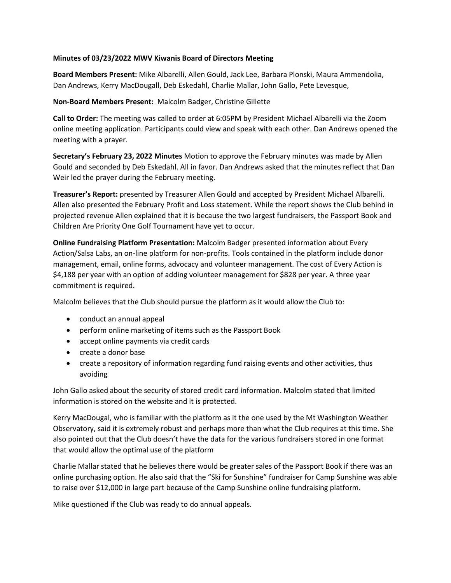## **Minutes of 03/23/2022 MWV Kiwanis Board of Directors Meeting**

**Board Members Present:** Mike Albarelli, Allen Gould, Jack Lee, Barbara Plonski, Maura Ammendolia, Dan Andrews, Kerry MacDougall, Deb Eskedahl, Charlie Mallar, John Gallo, Pete Levesque,

## **Non-Board Members Present:** Malcolm Badger, Christine Gillette

**Call to Order:** The meeting was called to order at 6:05PM by President Michael Albarelli via the Zoom online meeting application. Participants could view and speak with each other. Dan Andrews opened the meeting with a prayer.

**Secretary's February 23, 2022 Minutes** Motion to approve the February minutes was made by Allen Gould and seconded by Deb Eskedahl. All in favor. Dan Andrews asked that the minutes reflect that Dan Weir led the prayer during the February meeting.

**Treasurer's Report:** presented by Treasurer Allen Gould and accepted by President Michael Albarelli. Allen also presented the February Profit and Loss statement. While the report shows the Club behind in projected revenue Allen explained that it is because the two largest fundraisers, the Passport Book and Children Are Priority One Golf Tournament have yet to occur.

**Online Fundraising Platform Presentation:** Malcolm Badger presented information about Every Action/Salsa Labs, an on-line platform for non-profits. Tools contained in the platform include donor management, email, online forms, advocacy and volunteer management. The cost of Every Action is \$4,188 per year with an option of adding volunteer management for \$828 per year. A three year commitment is required.

Malcolm believes that the Club should pursue the platform as it would allow the Club to:

- conduct an annual appeal
- perform online marketing of items such as the Passport Book
- accept online payments via credit cards
- create a donor base
- create a repository of information regarding fund raising events and other activities, thus avoiding

John Gallo asked about the security of stored credit card information. Malcolm stated that limited information is stored on the website and it is protected.

Kerry MacDougal, who is familiar with the platform as it the one used by the Mt Washington Weather Observatory, said it is extremely robust and perhaps more than what the Club requires at this time. She also pointed out that the Club doesn't have the data for the various fundraisers stored in one format that would allow the optimal use of the platform

Charlie Mallar stated that he believes there would be greater sales of the Passport Book if there was an online purchasing option. He also said that the "Ski for Sunshine" fundraiser for Camp Sunshine was able to raise over \$12,000 in large part because of the Camp Sunshine online fundraising platform.

Mike questioned if the Club was ready to do annual appeals.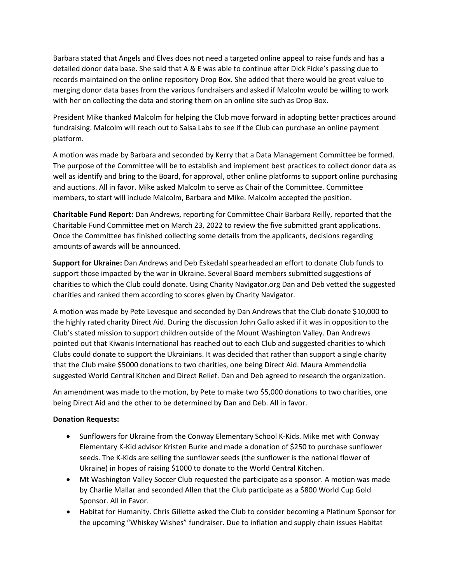Barbara stated that Angels and Elves does not need a targeted online appeal to raise funds and has a detailed donor data base. She said that A & E was able to continue after Dick Ficke's passing due to records maintained on the online repository Drop Box. She added that there would be great value to merging donor data bases from the various fundraisers and asked if Malcolm would be willing to work with her on collecting the data and storing them on an online site such as Drop Box.

President Mike thanked Malcolm for helping the Club move forward in adopting better practices around fundraising. Malcolm will reach out to Salsa Labs to see if the Club can purchase an online payment platform.

A motion was made by Barbara and seconded by Kerry that a Data Management Committee be formed. The purpose of the Committee will be to establish and implement best practices to collect donor data as well as identify and bring to the Board, for approval, other online platforms to support online purchasing and auctions. All in favor. Mike asked Malcolm to serve as Chair of the Committee. Committee members, to start will include Malcolm, Barbara and Mike. Malcolm accepted the position.

**Charitable Fund Report:** Dan Andrews, reporting for Committee Chair Barbara Reilly, reported that the Charitable Fund Committee met on March 23, 2022 to review the five submitted grant applications. Once the Committee has finished collecting some details from the applicants, decisions regarding amounts of awards will be announced.

**Support for Ukraine:** Dan Andrews and Deb Eskedahl spearheaded an effort to donate Club funds to support those impacted by the war in Ukraine. Several Board members submitted suggestions of charities to which the Club could donate. Using Charity Navigator.org Dan and Deb vetted the suggested charities and ranked them according to scores given by Charity Navigator.

A motion was made by Pete Levesque and seconded by Dan Andrews that the Club donate \$10,000 to the highly rated charity Direct Aid. During the discussion John Gallo asked if it was in opposition to the Club's stated mission to support children outside of the Mount Washington Valley. Dan Andrews pointed out that Kiwanis International has reached out to each Club and suggested charities to which Clubs could donate to support the Ukrainians. It was decided that rather than support a single charity that the Club make \$5000 donations to two charities, one being Direct Aid. Maura Ammendolia suggested World Central Kitchen and Direct Relief. Dan and Deb agreed to research the organization.

An amendment was made to the motion, by Pete to make two \$5,000 donations to two charities, one being Direct Aid and the other to be determined by Dan and Deb. All in favor.

## **Donation Requests:**

- Sunflowers for Ukraine from the Conway Elementary School K-Kids. Mike met with Conway Elementary K-Kid advisor Kristen Burke and made a donation of \$250 to purchase sunflower seeds. The K-Kids are selling the sunflower seeds (the sunflower is the national flower of Ukraine) in hopes of raising \$1000 to donate to the World Central Kitchen.
- Mt Washington Valley Soccer Club requested the participate as a sponsor. A motion was made by Charlie Mallar and seconded Allen that the Club participate as a \$800 World Cup Gold Sponsor. All in Favor.
- Habitat for Humanity. Chris Gillette asked the Club to consider becoming a Platinum Sponsor for the upcoming "Whiskey Wishes" fundraiser. Due to inflation and supply chain issues Habitat